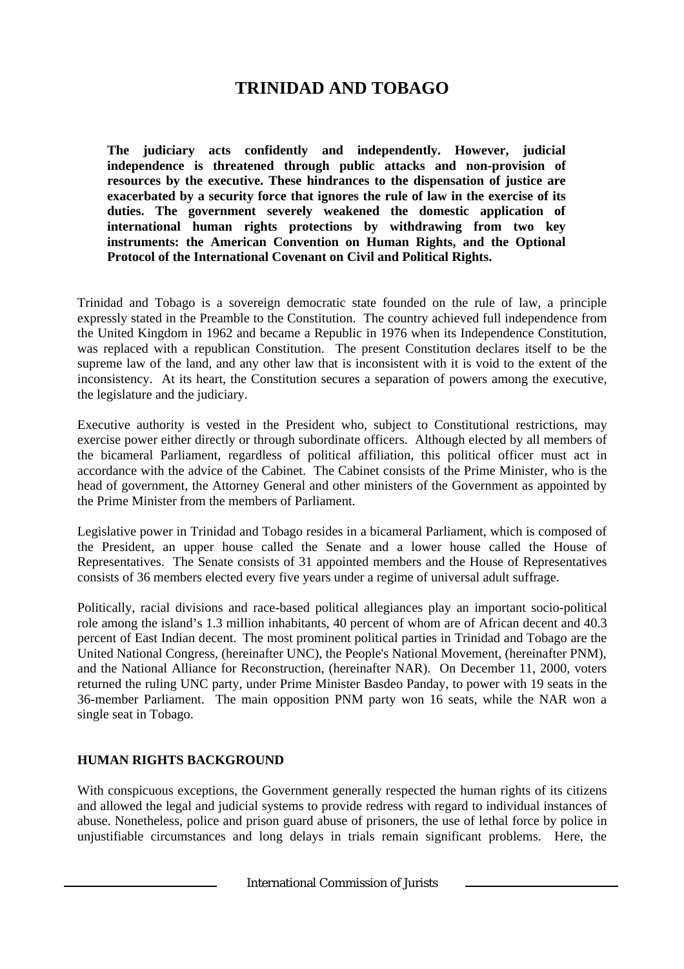# **TRINIDAD AND TOBAGO**

**The judiciary acts confidently and independently. However, judicial independence is threatened through public attacks and non-provision of resources by the executive. These hindrances to the dispensation of justice are exacerbated by a security force that ignores the rule of law in the exercise of its duties. The government severely weakened the domestic application of international human rights protections by withdrawing from two key instruments: the American Convention on Human Rights, and the Optional Protocol of the International Covenant on Civil and Political Rights.**

Trinidad and Tobago is a sovereign democratic state founded on the rule of law, a principle expressly stated in the Preamble to the Constitution. The country achieved full independence from the United Kingdom in 1962 and became a Republic in 1976 when its Independence Constitution*,* was replaced with a republican Constitution. The present Constitution declares itself to be the supreme law of the land, and any other law that is inconsistent with it is void to the extent of the inconsistency. At its heart, the Constitution secures a separation of powers among the executive, the legislature and the judiciary.

Executive authority is vested in the President who, subject to Constitutional restrictions, may exercise power either directly or through subordinate officers. Although elected by all members of the bicameral Parliament, regardless of political affiliation, this political officer must act in accordance with the advice of the Cabinet. The Cabinet consists of the Prime Minister, who is the head of government, the Attorney General and other ministers of the Government as appointed by the Prime Minister from the members of Parliament.

Legislative power in Trinidad and Tobago resides in a bicameral Parliament, which is composed of the President, an upper house called the Senate and a lower house called the House of Representatives. The Senate consists of 31 appointed members and the House of Representatives consists of 36 members elected every five years under a regime of universal adult suffrage.

Politically, racial divisions and race-based political allegiances play an important socio-political role among the island's 1.3 million inhabitants, 40 percent of whom are of African decent and 40.3 percent of East Indian decent. The most prominent political parties in Trinidad and Tobago are the United National Congress, (hereinafter UNC), the People's National Movement, (hereinafter PNM), and the National Alliance for Reconstruction, (hereinafter NAR). On December 11, 2000, voters returned the ruling UNC party, under Prime Minister Basdeo Panday, to power with 19 seats in the 36-member Parliament. The main opposition PNM party won 16 seats, while the NAR won a single seat in Tobago.

## **HUMAN RIGHTS BACKGROUND**

With conspicuous exceptions, the Government generally respected the human rights of its citizens and allowed the legal and judicial systems to provide redress with regard to individual instances of abuse. Nonetheless, police and prison guard abuse of prisoners, the use of lethal force by police in unjustifiable circumstances and long delays in trials remain significant problems. Here, the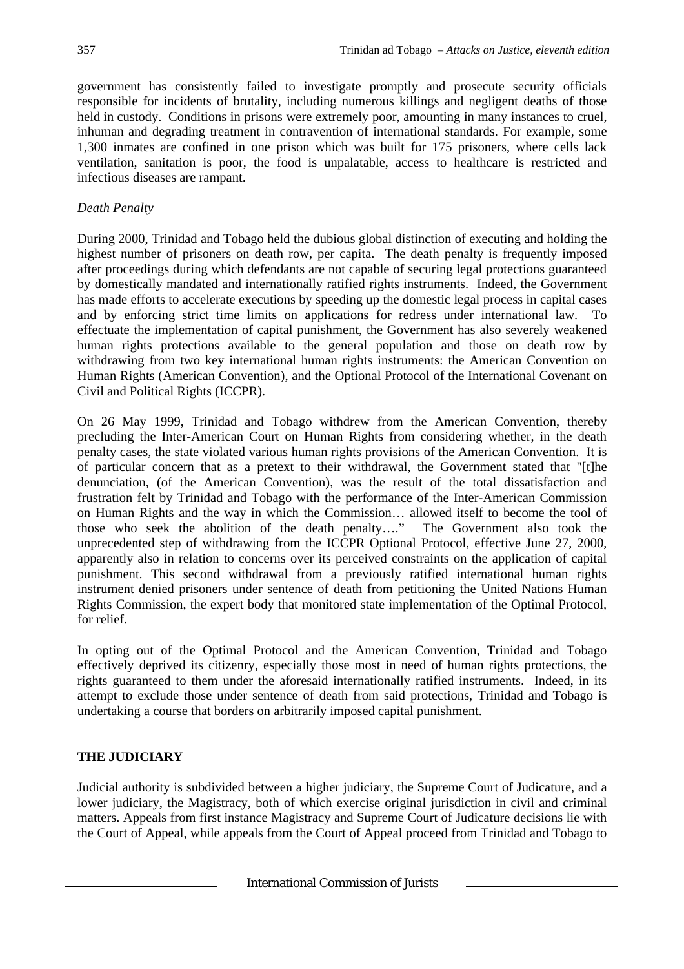government has consistently failed to investigate promptly and prosecute security officials responsible for incidents of brutality, including numerous killings and negligent deaths of those held in custody. Conditions in prisons were extremely poor, amounting in many instances to cruel, inhuman and degrading treatment in contravention of international standards. For example, some 1,300 inmates are confined in one prison which was built for 175 prisoners, where cells lack ventilation, sanitation is poor, the food is unpalatable, access to healthcare is restricted and infectious diseases are rampant.

### *Death Penalty*

During 2000, Trinidad and Tobago held the dubious global distinction of executing and holding the highest number of prisoners on death row, per capita. The death penalty is frequently imposed after proceedings during which defendants are not capable of securing legal protections guaranteed by domestically mandated and internationally ratified rights instruments. Indeed, the Government has made efforts to accelerate executions by speeding up the domestic legal process in capital cases and by enforcing strict time limits on applications for redress under international law. To effectuate the implementation of capital punishment, the Government has also severely weakened human rights protections available to the general population and those on death row by withdrawing from two key international human rights instruments: the American Convention on Human Rights (American Convention), and the Optional Protocol of the International Covenant on Civil and Political Rights (ICCPR).

On 26 May 1999, Trinidad and Tobago withdrew from the American Convention, thereby precluding the Inter-American Court on Human Rights from considering whether, in the death penalty cases, the state violated various human rights provisions of the American Convention. It is of particular concern that as a pretext to their withdrawal, the Government stated that "[t]he denunciation, (of the American Convention), was the result of the total dissatisfaction and frustration felt by Trinidad and Tobago with the performance of the Inter-American Commission on Human Rights and the way in which the Commission… allowed itself to become the tool of those who seek the abolition of the death penalty…." The Government also took the unprecedented step of withdrawing from the ICCPR Optional Protocol, effective June 27, 2000, apparently also in relation to concerns over its perceived constraints on the application of capital punishment. This second withdrawal from a previously ratified international human rights instrument denied prisoners under sentence of death from petitioning the United Nations Human Rights Commission, the expert body that monitored state implementation of the Optimal Protocol*,* for relief.

In opting out of the Optimal Protocol and the American Convention, Trinidad and Tobago effectively deprived its citizenry, especially those most in need of human rights protections, the rights guaranteed to them under the aforesaid internationally ratified instruments. Indeed, in its attempt to exclude those under sentence of death from said protections, Trinidad and Tobago is undertaking a course that borders on arbitrarily imposed capital punishment.

## **THE JUDICIARY**

Judicial authority is subdivided between a higher judiciary, the Supreme Court of Judicature, and a lower judiciary, the Magistracy, both of which exercise original jurisdiction in civil and criminal matters. Appeals from first instance Magistracy and Supreme Court of Judicature decisions lie with the Court of Appeal, while appeals from the Court of Appeal proceed from Trinidad and Tobago to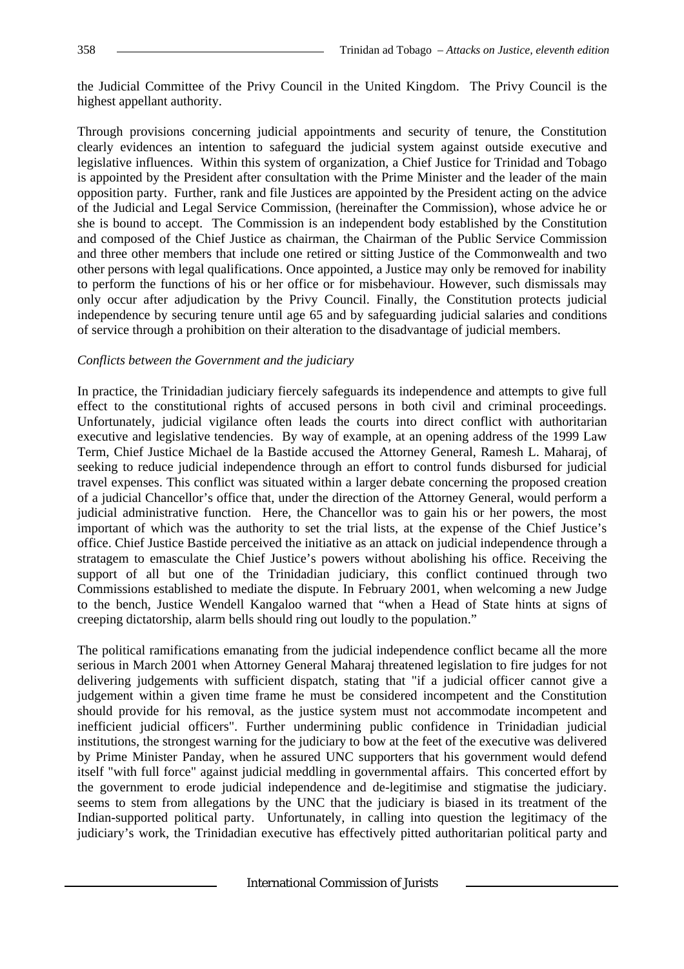the Judicial Committee of the Privy Council in the United Kingdom. The Privy Council is the highest appellant authority.

Through provisions concerning judicial appointments and security of tenure, the Constitution clearly evidences an intention to safeguard the judicial system against outside executive and legislative influences. Within this system of organization, a Chief Justice for Trinidad and Tobago is appointed by the President after consultation with the Prime Minister and the leader of the main opposition party. Further, rank and file Justices are appointed by the President acting on the advice of the Judicial and Legal Service Commission, (hereinafter the Commission), whose advice he or she is bound to accept. The Commission is an independent body established by the Constitution and composed of the Chief Justice as chairman, the Chairman of the Public Service Commission and three other members that include one retired or sitting Justice of the Commonwealth and two other persons with legal qualifications. Once appointed, a Justice may only be removed for inability to perform the functions of his or her office or for misbehaviour. However, such dismissals may only occur after adjudication by the Privy Council. Finally, the Constitution protects judicial independence by securing tenure until age 65 and by safeguarding judicial salaries and conditions of service through a prohibition on their alteration to the disadvantage of judicial members.

#### *Conflicts between the Government and the judiciary*

In practice, the Trinidadian judiciary fiercely safeguards its independence and attempts to give full effect to the constitutional rights of accused persons in both civil and criminal proceedings. Unfortunately, judicial vigilance often leads the courts into direct conflict with authoritarian executive and legislative tendencies. By way of example, at an opening address of the 1999 Law Term, Chief Justice Michael de la Bastide accused the Attorney General, Ramesh L. Maharaj, of seeking to reduce judicial independence through an effort to control funds disbursed for judicial travel expenses. This conflict was situated within a larger debate concerning the proposed creation of a judicial Chancellor's office that, under the direction of the Attorney General, would perform a judicial administrative function. Here, the Chancellor was to gain his or her powers, the most important of which was the authority to set the trial lists, at the expense of the Chief Justice's office. Chief Justice Bastide perceived the initiative as an attack on judicial independence through a stratagem to emasculate the Chief Justice's powers without abolishing his office. Receiving the support of all but one of the Trinidadian judiciary, this conflict continued through two Commissions established to mediate the dispute. In February 2001, when welcoming a new Judge to the bench, Justice Wendell Kangaloo warned that "when a Head of State hints at signs of creeping dictatorship, alarm bells should ring out loudly to the population."

The political ramifications emanating from the judicial independence conflict became all the more serious in March 2001 when Attorney General Maharaj threatened legislation to fire judges for not delivering judgements with sufficient dispatch, stating that "if a judicial officer cannot give a judgement within a given time frame he must be considered incompetent and the Constitution should provide for his removal, as the justice system must not accommodate incompetent and inefficient judicial officers". Further undermining public confidence in Trinidadian judicial institutions, the strongest warning for the judiciary to bow at the feet of the executive was delivered by Prime Minister Panday, when he assured UNC supporters that his government would defend itself "with full force" against judicial meddling in governmental affairs. This concerted effort by the government to erode judicial independence and de-legitimise and stigmatise the judiciary. seems to stem from allegations by the UNC that the judiciary is biased in its treatment of the Indian-supported political party. Unfortunately, in calling into question the legitimacy of the judiciary's work, the Trinidadian executive has effectively pitted authoritarian political party and